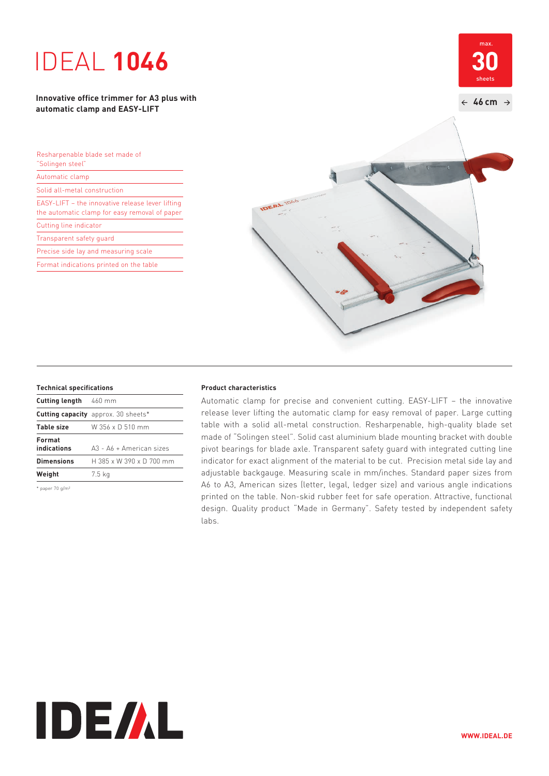# IDEAL **1046**

**Innovative office trimmer for A3 plus with automatic clamp and EASY-LIFT**

| Resharpenable blade set made of<br>"Solingen steel"                                               |  |
|---------------------------------------------------------------------------------------------------|--|
| Automatic clamp                                                                                   |  |
| Solid all-metal construction                                                                      |  |
| EASY-LIFT - the innovative release lever lifting<br>the automatic clamp for easy removal of paper |  |
| Cutting line indicator                                                                            |  |
| Transparent safety quard                                                                          |  |
| Precise side lay and measuring scale                                                              |  |
| Format indications printed on the table                                                           |  |
|                                                                                                   |  |



| <b>Cutting length</b> 460 mm |                                            |
|------------------------------|--------------------------------------------|
|                              | <b>Cutting capacity</b> approx. 30 sheets* |
| <b>Table size</b>            | W 356 x D 510 mm                           |
| Format<br>indications        | A3 - A6 + American sizes                   |
| <b>Dimensions</b>            | H 385 x W 390 x D 700 mm                   |
| Weight                       | 7.5 kg                                     |
|                              |                                            |

\* paper 70 g/m²

### **Technical specifications Product characteristics**

 Automatic clamp for precise and convenient cutting. EASY-LIFT – the innovative release lever lifting the automatic clamp for easy removal of paper. Large cutting table with a solid all-metal construction. Resharpenable, high-quality blade set made of "Solingen steel". Solid cast aluminium blade mounting bracket with double pivot bearings for blade axle. Transparent safety guard with integrated cutting line indicator for exact alignment of the material to be cut. Precision metal side lay and adjustable backgauge. Measuring scale in mm/inches. Standard paper sizes from A6 to A3, American sizes (letter, legal, ledger size) and various angle indications printed on the table. Non-skid rubber feet for safe operation. Attractive, functional design. Quality product "Made in Germany". Safety tested by independent safety labs.